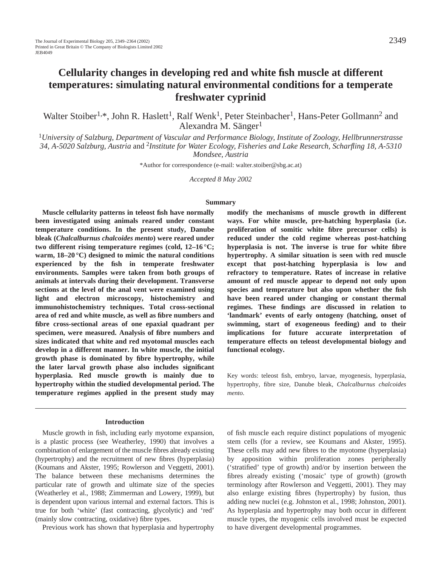# **Cellularity changes in developing red and white fish muscle at different temperatures: simulating natural environmental conditions for a temperate freshwater cyprinid**

Walter Stoiber<sup>1,\*</sup>, John R. Haslett<sup>1</sup>, Ralf Wenk<sup>1</sup>, Peter Steinbacher<sup>1</sup>, Hans-Peter Gollmann<sup>2</sup> and Alexandra M. Sänger<sup>1</sup>

<sup>1</sup>*University of Salzburg, Department of Vascular and Performance Biology, Institute of Zoology, Hellbrunnerstrasse 34, A-5020 Salzburg, Austria* and 2*Institute for Water Ecology, Fisheries and Lake Research, Scharfling 18, A-5310 Mondsee, Austria*

\*Author for correspondence (e-mail: walter.stoiber@sbg.ac.at)

*Accepted 8 May 2002*

#### **Summary**

**Muscle cellularity patterns in teleost fish have normally been investigated using animals reared under constant temperature conditions. In the present study, Danube bleak (***Chalcalburnus chalcoides mento***) were reared under two different rising temperature regimes (cold, 12–16 °C; warm, 18–20 °C) designed to mimic the natural conditions experienced by the fish in temperate freshwater environments. Samples were taken from both groups of animals at intervals during their development. Transverse sections at the level of the anal vent were examined using light and electron microscopy, histochemistry and immunohistochemistry techniques. Total cross-sectional area of red and white muscle, as well as fibre numbers and fibre cross-sectional areas of one epaxial quadrant per specimen, were measured. Analysis of fibre numbers and sizes indicated that white and red myotomal muscles each develop in a different manner. In white muscle, the initial growth phase is dominated by fibre hypertrophy, while the later larval growth phase also includes significant hyperplasia. Red muscle growth is mainly due to hypertrophy within the studied developmental period. The temperature regimes applied in the present study may**

#### **Introduction**

Muscle growth in fish, including early myotome expansion, is a plastic process (see Weatherley, 1990) that involves a combination of enlargement of the muscle fibres already existing (hypertrophy) and the recruitment of new fibres (hyperplasia) (Koumans and Akster, 1995; Rowlerson and Veggetti, 2001). The balance between these mechanisms determines the particular rate of growth and ultimate size of the species (Weatherley et al., 1988; Zimmerman and Lowery, 1999), but is dependent upon various internal and external factors. This is true for both 'white' (fast contracting, glycolytic) and 'red' (mainly slow contracting, oxidative) fibre types.

Previous work has shown that hyperplasia and hypertrophy

**modify the mechanisms of muscle growth in different ways. For white muscle, pre-hatching hyperplasia (i.e. proliferation of somitic white fibre precursor cells) is reduced under the cold regime whereas post-hatching hyperplasia is not. The inverse is true for white fibre hypertrophy. A similar situation is seen with red muscle except that post-hatching hyperplasia is low and refractory to temperature. Rates of increase in relative amount of red muscle appear to depend not only upon species and temperature but also upon whether the fish have been reared under changing or constant thermal regimes. These findings are discussed in relation to 'landmark' events of early ontogeny (hatching, onset of swimming, start of exogeneous feeding) and to their implications for future accurate interpretation of temperature effects on teleost developmental biology and functional ecology.**

Key words: teleost fish, embryo, larvae, myogenesis, hyperplasia, hypertrophy, fibre size, Danube bleak, *Chalcalburnus chalcoides mento*.

of fish muscle each require distinct populations of myogenic stem cells (for a review, see Koumans and Akster, 1995). These cells may add new fibres to the myotome (hyperplasia) by apposition within proliferation zones peripherally ('stratified' type of growth) and/or by insertion between the fibres already existing ('mosaic' type of growth) (growth terminology after Rowlerson and Veggetti, 2001). They may also enlarge existing fibres (hypertrophy) by fusion, thus adding new nuclei (e.g. Johnston et al., 1998; Johnston, 2001). As hyperplasia and hypertrophy may both occur in different muscle types, the myogenic cells involved must be expected to have divergent developmental programmes.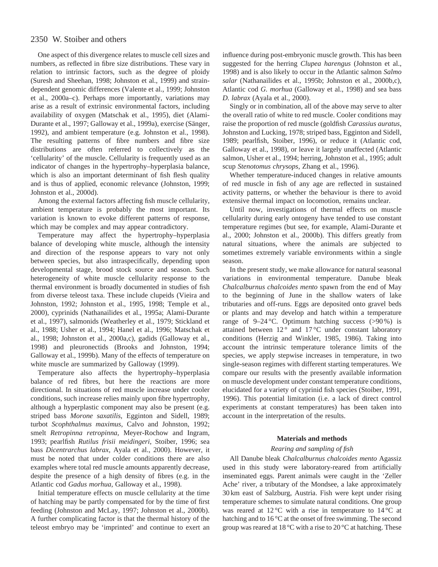One aspect of this divergence relates to muscle cell sizes and numbers, as reflected in fibre size distributions. These vary in relation to intrinsic factors, such as the degree of ploidy (Suresh and Sheehan, 1998; Johnston et al., 1999) and straindependent genomic differences (Valente et al., 1999; Johnston et al., 2000a–c). Perhaps more importantly, variations may arise as a result of extrinsic environmental factors, including availability of oxygen (Matschak et al., 1995), diet (Alami-Durante et al., 1997; Galloway et al., 1999a), exercise (Sänger, 1992), and ambient temperature (e.g. Johnston et al., 1998). The resulting patterns of fibre numbers and fibre size distributions are often referred to collectively as the 'cellularity' of the muscle. Cellularity is frequently used as an indicator of changes in the hypertrophy–hyperplasia balance, which is also an important determinant of fish flesh quality and is thus of applied, economic relevance (Johnston, 1999; Johnston et al., 2000d).

Among the external factors affecting fish muscle cellularity, ambient temperature is probably the most important. Its variation is known to evoke different patterns of response, which may be complex and may appear contradictory.

Temperature may affect the hypertrophy–hyperplasia balance of developing white muscle, although the intensity and direction of the response appears to vary not only between species, but also intraspecifically, depending upon developmental stage, brood stock source and season. Such heterogeneity of white muscle cellularity response to the thermal environment is broadly documented in studies of fish from diverse teleost taxa. These include clupeids (Vieira and Johnston, 1992; Johnston et al., 1995, 1998; Temple et al., 2000), cyprinids (Nathanailides et al., 1995a; Alami-Durante et al., 1997), salmonids (Weatherley et al., 1979; Stickland et al., 1988; Usher et al., 1994; Hanel et al., 1996; Matschak et al., 1998; Johnston et al., 2000a,c), gadids (Galloway et al., 1998) and pleuronectids (Brooks and Johnston, 1994; Galloway et al., 1999b). Many of the effects of temperature on white muscle are summarized by Galloway (1999).

Temperature also affects the hypertrophy–hyperplasia balance of red fibres, but here the reactions are more directional. In situations of red muscle increase under cooler conditions, such increase relies mainly upon fibre hypertrophy, although a hyperplastic component may also be present (e.g. striped bass *Morone saxatilis*, Egginton and Sidell, 1989; turbot *Scophthalmus maximus*, Calvo and Johnston, 1992; smelt *Retropinna retropinna*, Meyer-Rochow and Ingram, 1993; pearlfish *Rutilus frisii meidingeri*, Stoiber, 1996; sea bass *Dicentrarchus labrax*, Ayala et al., 2000). However, it must be noted that under colder conditions there are also examples where total red muscle amounts apparently decrease, despite the presence of a high density of fibres (e.g. in the Atlantic cod *Gadus morhua*, Galloway et al., 1998).

Initial temperature effects on muscle cellularity at the time of hatching may be partly compensated for by the time of first feeding (Johnston and McLay, 1997; Johnston et al., 2000b). A further complicating factor is that the thermal history of the teleost embryo may be 'imprinted' and continue to exert an influence during post-embryonic muscle growth. This has been suggested for the herring *Clupea harengus* (Johnston et al., 1998) and is also likely to occur in the Atlantic salmon *Salmo salar* (Nathanailides et al., 1995b; Johnston et al., 2000b,c), Atlantic cod *G. morhua* (Galloway et al., 1998) and sea bass *D. labrax* (Ayala et al., 2000).

Singly or in combination, all of the above may serve to alter the overall ratio of white to red muscle. Cooler conditions may raise the proportion of red muscle (goldfish *Carassius auratus*, Johnston and Lucking, 1978; striped bass, Egginton and Sidell, 1989; pearlfish, Stoiber, 1996), or reduce it (Atlantic cod, Galloway et al., 1998), or leave it largely unaffected (Atlantic salmon, Usher et al., 1994; herring, Johnston et al., 1995; adult scup *Stenotomus chrysops*, Zhang et al., 1996).

Whether temperature-induced changes in relative amounts of red muscle in fish of any age are reflected in sustained activity patterns, or whether the behaviour is there to avoid extensive thermal impact on locomotion, remains unclear.

Until now, investigations of thermal effects on muscle cellularity during early ontogeny have tended to use constant temperature regimes (but see, for example, Alami-Durante et al., 2000; Johnston et al., 2000b). This differs greatly from natural situations, where the animals are subjected to sometimes extremely variable environments within a single season.

In the present study, we make allowance for natural seasonal variations in environmental temperature. Danube bleak *Chalcalburnus chalcoides mento* spawn from the end of May to the beginning of June in the shallow waters of lake tributaries and off-runs. Eggs are deposited onto gravel beds or plants and may develop and hatch within a temperature range of 9–24 °C. Optimum hatching success  $(>90\%)$  is attained between 12 ° and 17 °C under constant laboratory conditions (Herzig and Winkler, 1985, 1986). Taking into account the intrinsic temperature tolerance limits of the species, we apply stepwise increases in temperature, in two single-season regimes with different starting temperatures. We compare our results with the presently available information on muscle development under constant temperature conditions, elucidated for a variety of cyprinid fish species (Stoiber, 1991, 1996). This potential limitation (i.e. a lack of direct control experiments at constant temperatures) has been taken into account in the interpretation of the results.

### **Materials and methods**

### *Rearing and sampling of fish*

All Danube bleak *Chalcalburnus chalcoides mento* Agassiz used in this study were laboratory-reared from artificially inseminated eggs. Parent animals were caught in the 'Zeller Ache' river, a tributary of the Mondsee, a lake approximately 30 km east of Salzburg, Austria. Fish were kept under rising temperature schemes to simulate natural conditions. One group was reared at  $12^{\circ}$ C with a rise in temperature to  $14^{\circ}$ C at hatching and to 16 °C at the onset of free swimming. The second group was reared at 18 °C with a rise to 20 °C at hatching. These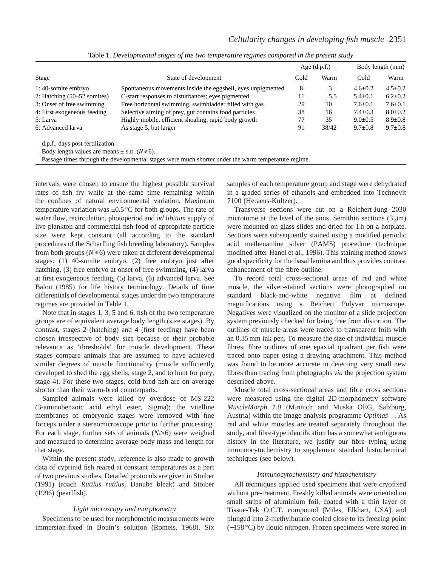|                                                                                      |                                                                                                     | Age $(d.p.f.)$ |       | Body length (mm) |               |
|--------------------------------------------------------------------------------------|-----------------------------------------------------------------------------------------------------|----------------|-------|------------------|---------------|
| Stage                                                                                | State of development                                                                                |                | Warm  | Cold             | Warm          |
| 1:40-somite embryo                                                                   | Spontaneous movements inside the eggshell, eyes unpigmented                                         | 8              | 3     | $4.6 \pm 0.2$    | $4.5 \pm 0.2$ |
| 2: Hatching $(50-52 \text{ somites})$                                                | C-start responses to disturbances; eyes pigmented                                                   | 11             | 5.5   | $5.4 \pm 0.1$    | $6.2 \pm 0.2$ |
| Free horizontal swimming, swimbladder filled with gas<br>3: Onset of free swimming   |                                                                                                     | 29             | 10    | $7.6 \pm 0.1$    | $7.6 \pm 0.1$ |
| Selective aiming of prey, gut contains food particles<br>4: First exogeneous feeding |                                                                                                     | 38             | 16    | $7.4 \pm 0.3$    | $8.0 \pm 0.2$ |
| Highly mobile, efficient shoaling, rapid body growth<br>5: Larva                     |                                                                                                     | 77             | 35    | $9.0 \pm 0.5$    | $8.9 \pm 0.8$ |
| 6: Advanced larva                                                                    | As stage 5, but larger                                                                              | 91             | 38/42 | $9.7 \pm 0.8$    | $9.7 \pm 0.8$ |
| d.p.f., days post fertilization.                                                     |                                                                                                     |                |       |                  |               |
| Body length values are means $\pm$ s.D. ( $N \ge 6$ ).                               |                                                                                                     |                |       |                  |               |
|                                                                                      | Passage times through the developmental stages were much shorter under the warm temperature regime. |                |       |                  |               |

Table 1. *Developmental stages of the two temperature regimes compared in the present study*

intervals were chosen to ensure the highest possible survival rates of fish fry while at the same time remaining within the confines of natural environmental variation. Maximum temperature variation was  $\pm 0.5$  °C for both groups. The rate of water flow, recirculation, photoperiod and *ad libitum* supply of live plankton and commercial fish food of appropriate particle size were kept constant (all according to the standard procedures of the Scharfling fish breeding laboratory). Samples from both groups  $(N \ge 6)$  were taken at different developmental stages: (1) 40-somite embryo, (2) free embryo just after hatching, (3) free embryo at onset of free swimming, (4) larva at first exogeneous feeding, (5) larva, (6) advanced larva. See Balon (1985) for life history terminology. Details of time differentials of developmental stages under the two temperature regimes are provided in Table 1.

Note that in stages 1, 3, 5 and 6, fish of the two temperature groups are of equivalent average body length (size stages). By contrast, stages 2 (hatching) and 4 (first feeding) have been chosen irrespective of body size because of their probable relevance as 'thresholds' for muscle development. These stages compare animals that are assumed to have achieved similar degrees of muscle functionality (muscle sufficiently developed to shed the egg shells, stage 2, and to hunt for prey, stage 4). For these two stages, cold-bred fish are on average shorter than their warm-bred counterparts.

Sampled animals were killed by overdose of MS-222 (3-aminobenzoic acid ethyl ester, Sigma); the vitelline membranes of embryonic stages were removed with fine forceps under a stereomicroscope prior to further processing. For each stage, further sets of animals  $(N \ge 6)$  were weighed and measured to determine average body mass and length for that stage.

Within the present study, reference is also made to growth data of cyprinid fish reared at constant temperatures as a part of two previous studies. Detailed protocols are given in Stoiber (1991) (roach *Rutilus rutilus*, Danube bleak) and Stoiber (1996) (pearlfish).

### *Light microscopy and morphometry*

Specimens to be used for morphometric measurements were immersion-fixed in Bouin's solution (Romeis, 1968). Six samples of each temperature group and stage were dehydrated in a graded series of ethanols and embedded into Technovit 7100 (Heraeus-Kultzer).

Transverse sections were cut on a Reichert-Jung 2030 microtome at the level of the anus. Semithin sections  $(3 \mu m)$ were mounted on glass slides and dried for 1 h on a hotplate. Sections were subsequently stained using a modified periodic acid methenamine silver (PAMS) procedure (technique modified after Hanel et al., 1996). This staining method shows good specificity for the basal lamina and thus provides contrast enhancement of the fibre outline.

To record total cross-sectional areas of red and white muscle, the silver-stained sections were photographed on standard black-and-white negative film at defined magnifications using a Reichert Polyvar microscope. Negatives were visualized on the monitor of a slide projection system previously checked for being free from distortion. The outlines of muscle areas were traced to transparent foils with an 0.35 mm ink pen. To measure the size of individual muscle fibres, fibre outlines of one epaxial quadrant per fish were traced onto paper using a drawing attachment. This method was found to be more accurate in detecting very small new fibres than tracing from photographs *via* the projection system described above.

Muscle total cross-sectional areas and fibre cross sections were measured using the digital 2D-morphometry software *MuscleMorph 1.0* (Minnich and Muska OEG, Salzburg, Austria) within the image analysis programme *Optimas*. As red and white muscles are treated separately throughout the study, and fibre-type identification has a somewhat ambiguous history in the literature, we justify our fibre typing using immunocytochemistry to supplement standard histochemical techniques (see below).

### *Immunocytochemistry and histochemistry*

All techniques applied used specimens that were cryofixed without pre-treatment. Freshly killed animals were oriented on small strips of aluminium foil, coated with a thin layer of Tissue-Tek O.C.T. compound (Miles, Elkhart, USA) and plunged into 2-methylbutane cooled close to its freezing point (−158 °C) by liquid nitrogen. Frozen specimens were stored in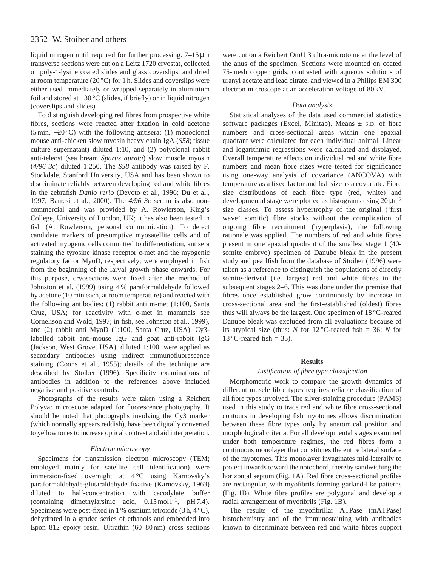liquid nitrogen until required for further processing. 7–15 µm transverse sections were cut on a Leitz 1720 cryostat, collected on poly-L-lysine coated slides and glass coverslips, and dried at room temperature (20 $\degree$ C) for 1 h. Slides and coverslips were either used immediately or wrapped separately in aluminium foil and stored at −30 °C (slides, if briefly) or in liquid nitrogen (coverslips and slides).

To distinguish developing red fibres from prospective white fibres, sections were reacted after fixation in cold acetone (5 min, −20 °C) with the following antisera: (1) monoclonal mouse anti-chicken slow myosin heavy chain IgA (*S58*; tissue culture supernatant) diluted 1:10, and (2) polyclonal rabbit anti-teleost (sea bream *Sparus aurata*) slow muscle myosin (*4/96 3c*) diluted 1:250. The *S58* antibody was raised by F. Stockdale, Stanford University, USA and has been shown to discriminate reliably between developing red and white fibres in the zebrafish *Danio rerio* (Devoto et al., 1996; Du et al., 1997; Barresi et al., 2000). The *4/96 3c* serum is also noncommercial and was provided by A. Rowlerson, King's College, University of London, UK; it has also been tested in fish (A. Rowlerson, personal communication). To detect candidate markers of presumptive myosatellite cells and of activated myogenic cells committed to differentiation, antisera staining the tyrosine kinase receptor c-met and the myogenic regulatory factor MyoD, respectively, were employed in fish from the beginning of the larval growth phase onwards. For this purpose, cryosections were fixed after the method of Johnston et al. (1999) using 4 % paraformaldehyde followed by acetone (10 min each, at room temperature) and reacted with the following antibodies: (1) rabbit anti m-met (1:100, Santa Cruz, USA; for reactivity with c-met in mammals see Cornelison and Wold, 1997; in fish, see Johnston et al., 1999), and (2) rabbit anti MyoD (1:100, Santa Cruz, USA). Cy3 labelled rabbit anti-mouse IgG and goat anti-rabbit IgG (Jackson, West Grove, USA), diluted 1:100, were applied as secondary antibodies using indirect immunofluorescence staining (Coons et al., 1955); details of the technique are described by Stoiber (1996). Specificity examinations of antibodies in addition to the references above included negative and positive controls.

Photographs of the results were taken using a Reichert Polyvar microscope adapted for fluorescence photography. It should be noted that photographs involving the Cy3 marker (which normally appears reddish), have been digitally converted to yellow tones to increase optical contrast and aid interpretation.

### *Electron microscopy*

Specimens for transmission electron microscopy (TEM; employed mainly for satellite cell identification) were immersion-fixed overnight at 4 °C using Karnovsky's paraformaldehyde-glutaraldehyde fixative (Karnovsky, 1963) diluted to half-concentration with cacodylate buffer (containing dimethylarsinic acid,  $0.15 \text{ mol}^{-1}$ , pH 7.4). Specimens were post-fixed in 1 % osmium tetroxide  $(3 h, 4 °C)$ , dehydrated in a graded series of ethanols and embedded into Epon 812 epoxy resin. Ultrathin (60–80 nm) cross sections were cut on a Reichert OmU 3 ultra-microtome at the level of the anus of the specimen. Sections were mounted on coated 75-mesh copper grids, contrasted with aqueous solutions of uranyl acetate and lead citrate, and viewed in a Philips EM 300 electron microscope at an acceleration voltage of 80 kV.

#### *Data analysis*

Statistical analyses of the data used commercial statistics software packages (Excel, Minitab). Means  $\pm$  s.D. of fibre numbers and cross-sectional areas within one epaxial quadrant were calculated for each individual animal. Linear and logarithmic regressions were calculated and displayed. Overall temperature effects on individual red and white fibre numbers and mean fibre sizes were tested for significance using one-way analysis of covariance (ANCOVA) with temperature as a fixed factor and fish size as a covariate. Fibre size distributions of each fibre type (red, white) and developmental stage were plotted as histograms using  $20 \mu m^2$ size classes. To assess hypertrophy of the original ('first wave' somitic) fibre stocks without the complication of ongoing fibre recruitment (hyperplasia), the following rationale was applied. The numbers of red and white fibres present in one epaxial quadrant of the smallest stage 1 (40 somite embryo) specimen of Danube bleak in the present study and pearlfish from the database of Stoiber (1996) were taken as a reference to distinguish the populations of directly somite-derived (i.e. largest) red and white fibres in the subsequent stages 2–6. This was done under the premise that fibres once established grow continuously by increase in cross-sectional area and the first-established (oldest) fibres thus will always be the largest. One specimen of 18 °C-reared Danube bleak was excluded from all evaluations because of its atypical size (thus: *N* for  $12^{\circ}$ C-reared fish = 36; *N* for 18 °C-reared fish = 35).

### **Results**

### *Justification of fibre type classification*

Morphometric work to compare the growth dynamics of different muscle fibre types requires reliable classification of all fibre types involved. The silver-staining procedure (PAMS) used in this study to trace red and white fibre cross-sectional contours in developing fish myotomes allows discrimination between these fibre types only by anatomical position and morphological criteria. For all developmental stages examined under both temperature regimes, the red fibres form a continuous monolayer that constitutes the entire lateral surface of the myotomes. This monolayer invaginates mid-laterally to project inwards toward the notochord, thereby sandwiching the horizontal septum (Fig. 1A). Red fibre cross-sectional profiles are rectangular, with myofibrils forming garland-like patterns (Fig. 1B). White fibre profiles are polygonal and develop a radial arrangement of myofibrils (Fig. 1B).

The results of the myofibrillar ATPase (mATPase) histochemistry and of the immunostaining with antibodies known to discriminate between red and white fibres support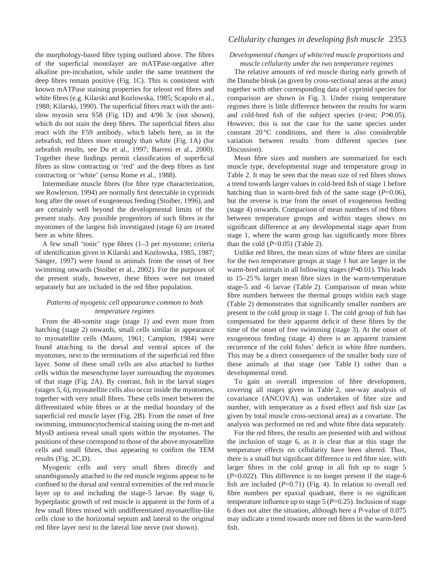the morphology-based fibre typing outlined above. The fibres of the superficial monolayer are mATPase-negative after alkaline pre-incubation, while under the same treatment the deep fibres remain positive (Fig. 1C). This is consistent with known mATPase staining properties for teleost red fibres and white fibres (e.g. Kilarski and Kozlowska, 1985; Scapolo et al., 1988; Kilarski, 1990). The superficial fibres react with the antislow myosin sera S58 (Fig. 1D) and 4/96 3c (not shown), which do not stain the deep fibres. The superficial fibres also react with the F59 antibody, which labels here, as in the zebrafish, red fibres more strongly than white (Fig. 1A) (for zebrafish results, see Du et al., 1997; Barresi et al., 2000). Together these findings permit classification of superficial fibres as slow contracting or 'red' and the deep fibres as fast contracting or 'white' (*sensu* Rome et al., 1988).

Intermediate muscle fibres (for fibre type characterization, see Rowlerson, 1994) are normally first detectable in cyprinids long after the onset of exogeneous feeding (Stoiber, 1996), and are certainly well beyond the developmental limits of the present study. Any possible progenitors of such fibres in the myotomes of the largest fish investigated (stage 6) are treated here as white fibres.

A few small 'tonic' type fibres (1–3 per myotome; criteria of identification given in Kilarski and Kozlowska, 1985, 1987; Sänger, 1997) were found in animals from the onset of free swimming onwards (Stoiber et al., 2002). For the purposes of the present study, however, these fibres were not treated separately but are included in the red fibre population.

### *Patterns of myogenic cell appearance common to both temperature regimes*

From the 40-somite stage (stage 1) and even more from hatching (stage 2) onwards, small cells similar in appearance to myosatellite cells (Mauro, 1961; Campion, 1984) were found attaching to the dorsal and ventral apices of the myotomes, next to the terminations of the superficial red fibre layer. Some of these small cells are also attached to further cells within the mesenchyme layer surrounding the myotomes of that stage (Fig. 2A). By contrast, fish in the larval stages (stages 5, 6), myosatellite cells also occur inside the myotomes, together with very small fibres. These cells insert between the differentiated white fibres or at the medial boundary of the superficial red muscle layer (Fig. 2B). From the onset of free swimming, immunocytochemical staining using the m-met and MyoD antisera reveal small spots within the myotomes. The positions of these correspond to those of the above myosatellite cells and small fibres, thus appearing to confirm the TEM results (Fig. 2C,D).

Myogenic cells and very small fibres directly and unambiguously attached to the red muscle regions appear to be confined to the dorsal and ventral extremities of the red muscle layer up to and including the stage-5 larvae. By stage 6, hyperplastic growth of red muscle is apparent in the form of a few small fibres mixed with undifferentiated myosatellite-like cells close to the horizontal septum and lateral to the original red fibre layer next to the lateral line nerve (not shown).

# *Cellularity changes in developing fish muscle* 2353

### *Developmental changes of white/red muscle proportions and muscle cellularity under the two temperature regimes*

The relative amounts of red muscle during early growth of the Danube bleak (as given by cross-sectional areas at the anus) together with other corresponding data of cyprinid species for comparison are shown in Fig. 3. Under rising temperature regimes there is little difference between the results for warm and cold-bred fish of the subject species (*t*-test; *P*>0.05). However, this is not the case for the same species under constant 20 °C conditions, and there is also considerable variation between results from different species (see Discussion).

Mean fibre sizes and numbers are summarized for each muscle type, developmental stage and temperature group in Table 2. It may be seen that the mean size of red fibres shows a trend towards larger values in cold-bred fish of stage 1 before hatching than in warm-bred fish of the same stage (*P*=0.06), but the reverse is true from the onset of exogeneous feeding (stage 4) onwards. Comparison of mean numbers of red fibres between temperature groups and within stages shows no significant difference at any developmental stage apart from stage 1, where the warm group has significantly more fibres than the cold  $(P<0.05)$  (Table 2).

Unlike red fibres, the mean sizes of white fibres are similar for the two temperature groups at stage 1 but are larger in the warm-bred animals in all following stages (*P*<0.01). This leads to 15–25 % larger mean fibre sizes in the warm-temperature stage-5 and -6 larvae (Table 2). Comparison of mean white fibre numbers between the thermal groups within each stage (Table 2) demonstrates that significantly smaller numbers are present in the cold group in stage 1. The cold group of fish has compensated for their apparent deficit of these fibres by the time of the onset of free swimming (stage 3). At the onset of exogeneous feeding (stage 4) there is an apparent transient recurrence of the cold fishes' deficit in white fibre numbers. This may be a direct consequence of the smaller body size of these animals at that stage (see Table 1) rather than a developmental trend.

To gain an overall impression of fibre development, covering all stages given in Table 2, one-way analysis of covariance (ANCOVA) was undertaken of fibre size and number, with temperature as a fixed effect and fish size (as given by total muscle cross-sectional area) as a covariate. The analysis was performed on red and white fibre data separately.

For the red fibres, the results are presented with and without the inclusion of stage 6, as it is clear that at this stage the temperature effects on cellularity have been altered. Thus, there is a small but significant difference in red fibre size, with larger fibres in the cold group in all fish up to stage 5 (*P*=0.022). This difference is no longer present if the stage-6 fish are included  $(P=0.71)$  (Fig. 4). In relation to overall red fibre numbers per epaxial quadrant, there is no significant temperature influence up to stage 5 (*P*=0.25). Inclusion of stage 6 does not alter the situation, although here a *P*-value of 0.075 may indicate a trend towards more red fibres in the warm-bred fish.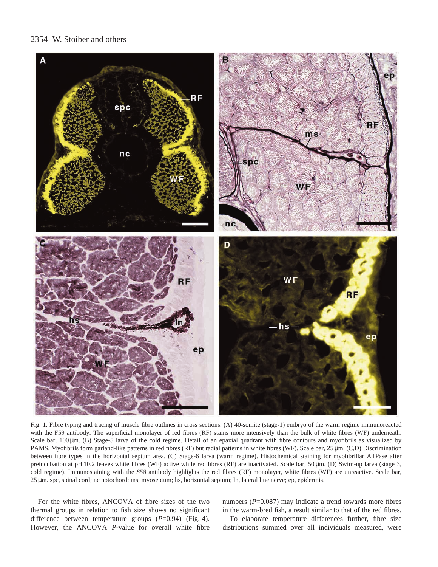

Fig. 1. Fibre typing and tracing of muscle fibre outlines in cross sections. (A) 40-somite (stage-1) embryo of the warm regime immunoreacted with the F59 antibody. The superficial monolayer of red fibres (RF) stains more intensively than the bulk of white fibres (WF) underneath. Scale bar, 100 µm. (B) Stage-5 larva of the cold regime. Detail of an epaxial quadrant with fibre contours and myofibrils as visualized by PAMS. Myofibrils form garland-like patterns in red fibres (RF) but radial patterns in white fibres (WF). Scale bar, 25 µm. (C,D) Discrimination between fibre types in the horizontal septum area. (C) Stage-6 larva (warm regime). Histochemical staining for myofibrillar ATPase after preincubation at pH 10.2 leaves white fibres (WF) active while red fibres (RF) are inactivated. Scale bar, 50 µm. (D) Swim-up larva (stage 3, cold regime). Immunostaining with the *S58* antibody highlights the red fibres (RF) monolayer, white fibres (WF) are unreactive. Scale bar, 25 µm. spc, spinal cord; nc notochord; ms, myoseptum; hs, horizontal septum; ln, lateral line nerve; ep, epidermis.

For the white fibres, ANCOVA of fibre sizes of the two thermal groups in relation to fish size shows no significant difference between temperature groups (*P*=0.94) (Fig. 4). However, the ANCOVA *P*-value for overall white fibre numbers (*P*=0.087) may indicate a trend towards more fibres in the warm-bred fish, a result similar to that of the red fibres.

To elaborate temperature differences further, fibre size distributions summed over all individuals measured, were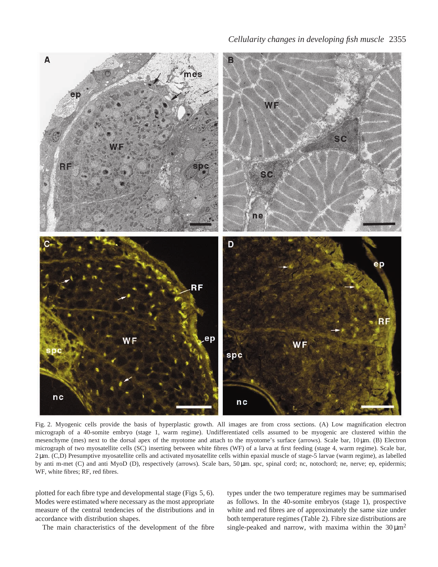

Fig. 2. Myogenic cells provide the basis of hyperplastic growth. All images are from cross sections. (A) Low magnification electron micrograph of a 40-somite embryo (stage 1, warm regime). Undifferentiated cells assumed to be myogenic are clustered within the mesenchyme (mes) next to the dorsal apex of the myotome and attach to the myotome's surface (arrows). Scale bar, 10 µm. (B) Electron micrograph of two myosatellite cells (SC) inserting between white fibres (WF) of a larva at first feeding (stage 4, warm regime). Scale bar, 2 µm. (C,D) Presumptive myosatellite cells and activated myosatellite cells within epaxial muscle of stage-5 larvae (warm regime), as labelled by anti m-met (C) and anti MyoD (D), respectively (arrows). Scale bars, 50 µm. spc, spinal cord; nc, notochord; ne, nerve; ep, epidermis; WF, white fibres; RF, red fibres.

plotted for each fibre type and developmental stage (Figs 5, 6). Modes were estimated where necessary as the most appropriate measure of the central tendencies of the distributions and in accordance with distribution shapes.

The main characteristics of the development of the fibre

types under the two temperature regimes may be summarised as follows. In the 40-somite embryos (stage 1), prospective white and red fibres are of approximately the same size under both temperature regimes (Table 2). Fibre size distributions are single-peaked and narrow, with maxima within the  $30 \mu m^2$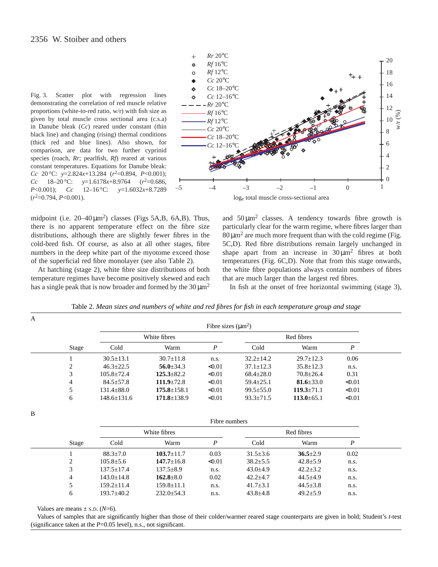Fig. 3. Scatter plot with regression lines demonstrating the correlation of red muscle relative proportions (white-to-red ratio, w/r) with fish size as given by total muscle cross sectional area (c.s.a) in Danube bleak (*Cc*) reared under constant (thin black line) and changing (rising) thermal conditions (thick red and blue lines). Also shown, for comparison, are data for two further cyprinid species (roach, *Rr*; pearlfish, *Rf*) reared at various constant temperatures. Equations for Danube bleak: *Cc* 20 °C: *y*=2.824*x*+13.284 (*r*2=0.894, *P*<0.001); *Cc* 18–20 °C: *y*=1.6178*x*+8.9764 (*r*2=0.686, *P*<0.001); *Cc* 12–16 °C: *y*=1.6032*x*+8.7289 (*r*2=0.794, *P*<0.001).



loge total muscle cross-sectional area

midpoint (i.e.  $20-40 \,\mu m^2$ ) classes (Figs 5A,B, 6A,B). Thus, there is no apparent temperature effect on the fibre size distributions, although there are slightly fewer fibres in the cold-bred fish. Of course, as also at all other stages, fibre numbers in the deep white part of the myotome exceed those of the superficial red fibre monolayer (see also Table 2).

At hatching (stage 2), white fibre size distributions of both temperature regimes have become positively skewed and each has a single peak that is now broader and formed by the  $30 \mu m^2$  and  $50 \mu m^2$  classes. A tendency towards fibre growth is particularly clear for the warm regime, where fibres larger than  $80 \mu m^2$  are much more frequent than with the cold regime (Fig. 5C,D). Red fibre distributions remain largely unchanged in shape apart from an increase in  $30 \mu m^2$  fibres at both temperatures (Fig. 6C,D). Note that from this stage onwards, the white fibre populations always contain numbers of fibres that are much larger than the largest red fibres.

In fish at the onset of free horizontal swimming (stage 3),

|   |                  | Fibre sizes $(\mu m^2)$       |                   |        |                               |                  |        |  |
|---|------------------|-------------------------------|-------------------|--------|-------------------------------|------------------|--------|--|
|   |                  |                               | White fibres      |        |                               | Red fibres       |        |  |
|   | Stage            | Cold                          | Warm              | P      | Cold                          | Warm             | P      |  |
|   |                  | $30.5 \pm 13.1$               | $30.7 \pm 11.8$   | n.s.   | $32.2 \pm 14.2$               | $29.7 \pm 12.3$  | 0.06   |  |
|   | 2                | $46.3 \pm 22.5$               | $56.0 \pm 34.3$   | < 0.01 | $37.1 \pm 12.3$               | $35.8 \pm 12.3$  | n.s.   |  |
|   | 3                | $105.8 \pm 72.4$              | $125.3 \pm 82.2$  | < 0.01 | $68.4 \pm 28.0$               | $70.8 \pm 26.4$  | 0.31   |  |
|   | 4                | $84.5 \pm 57.8$               | $111.9 \pm 72.8$  | < 0.01 | $59.4 \pm 25.1$               | 81.6 $\pm$ 33.0  | < 0.01 |  |
|   | 5                | $131.4 \pm 88.0$              | $175.8 \pm 158.1$ | < 0.01 | $99.5 \pm 55.0$               | $119.3 \pm 71.1$ | < 0.01 |  |
|   | 6                | $148.6 \pm 131.6$             | $171.8 \pm 138.9$ | < 0.01 | $93.3 \pm 71.5$               | $113.0 \pm 65.1$ | < 0.01 |  |
| B |                  |                               |                   |        |                               |                  |        |  |
|   |                  | Fibre numbers                 |                   |        |                               |                  |        |  |
|   |                  | White fibres                  |                   |        | Red fibres                    |                  |        |  |
|   | $C_{\text{box}}$ | C <sub>o</sub> 1 <sub>d</sub> | $W_{\alpha}$      | D      | C <sub>o</sub> 1 <sub>d</sub> | $W_{\alpha}$     | D      |  |

| Table 2. Mean sizes and numbers of white and red fibres for fish in each temperature group and stage |  |  |  |
|------------------------------------------------------------------------------------------------------|--|--|--|
|                                                                                                      |  |  |  |

|       | T TOTO HUIHOOLD  |                 |        |                |                |      |  |  |
|-------|------------------|-----------------|--------|----------------|----------------|------|--|--|
|       | White fibres     |                 |        | Red fibres     |                |      |  |  |
| Stage | Cold             | Warm            |        | Cold           | Warm           |      |  |  |
|       | $88.3 + 7.0$     | $103.7 + 11.7$  | 0.03   | $31.5 \pm 3.6$ | $36.5 \pm 2.9$ | 0.02 |  |  |
| ↑     | $105.8 + 5.6$    | $147.7 + 16.8$  | < 0.01 | $38.2 \pm 5.5$ | $42.8 \pm 5.9$ | n.s. |  |  |
|       | $137.5 + 17.4$   | $137.5 \pm 8.9$ | n.s.   | $43.0 \pm 4.9$ | $42.2 \pm 3.2$ | n.s. |  |  |
| 4     | $143.0 \pm 14.8$ | $162.8 \pm 8.0$ | 0.02   | $42.2 \pm 4.7$ | $44.5 \pm 4.9$ | n.s. |  |  |
|       | $159.2 + 11.4$   | $159.8 + 11.1$  | n.s.   | $41.7 \pm 3.1$ | $44.5 \pm 3.8$ | n.s. |  |  |
| 6     | $193.7 + 40.2$   | $232.0 + 54.3$  | n.s.   | $43.8 \pm 4.8$ | $49.2 + 5.9$   | n.s. |  |  |

Values are means  $\pm$  s.D. ( $N=6$ ).

Values of samples that are significantly higher than those of their colder/warmer reared stage counterparts are given in bold; Student's *t*-test (significance taken at the  $P=0.05$  level), n.s., not significant.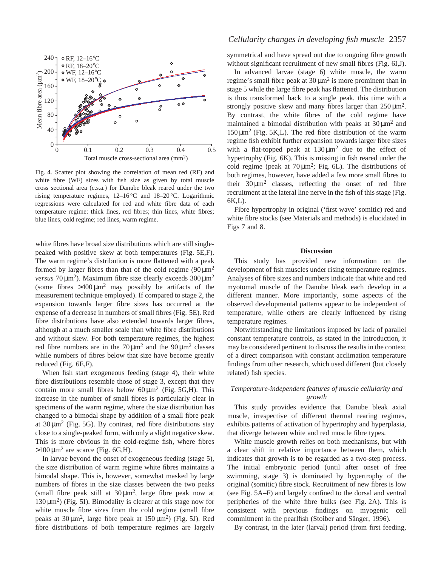

Fig. 4. Scatter plot showing the correlation of mean red (RF) and white fibre (WF) sizes with fish size as given by total muscle cross sectional area (c.s.a.) for Danube bleak reared under the two rising temperature regimes, 12–16 °C and 18–20 °C. Logarithmic regressions were calculated for red and white fibre data of each temperature regime: thick lines, red fibres; thin lines, white fibres; blue lines, cold regime; red lines, warm regime.

white fibres have broad size distributions which are still singlepeaked with positive skew at both temperatures (Fig. 5E,F). The warm regime's distribution is more flattened with a peak formed by larger fibres than that of the cold regime  $(90 \mu m^2)$ *versus*  $70 \mu m^2$ ). Maximum fibre size clearly exceeds  $300 \mu m^2$ (some fibres  $>400 \mu m^2$  may possibly be artifacts of the measurement technique employed). If compared to stage 2, the expansion towards larger fibre sizes has occurred at the expense of a decrease in numbers of small fibres (Fig. 5E). Red fibre distributions have also extended towards larger fibres, although at a much smaller scale than white fibre distributions and without skew. For both temperature regimes, the highest red fibre numbers are in the  $70 \mu m^2$  and the  $90 \mu m^2$  classes while numbers of fibres below that size have become greatly reduced (Fig. 6E,F).

When fish start exogeneous feeding (stage 4), their white fibre distributions resemble those of stage 3, except that they contain more small fibres below  $60 \mu m^2$  (Fig. 5G,H). This increase in the number of small fibres is particularly clear in specimens of the warm regime, where the size distribution has changed to a bimodal shape by addition of a small fibre peak at  $30 \mu m^2$  (Fig. 5G). By contrast, red fibre distributions stay close to a single-peaked form, with only a slight negative skew. This is more obvious in the cold-regime fish, where fibres  $>100 \,\mathrm{\upmu m^2}$  are scarce (Fig. 6G,H).

In larvae beyond the onset of exogeneous feeding (stage 5), the size distribution of warm regime white fibres maintains a bimodal shape. This is, however, somewhat masked by large numbers of fibres in the size classes between the two peaks (small fibre peak still at  $30 \mu m^2$ , large fibre peak now at  $130 \,\mu\text{m}^2$ ) (Fig. 5I). Bimodality is clearer at this stage now for white muscle fibre sizes from the cold regime (small fibre peaks at  $30 \mu m^2$ , large fibre peak at  $150 \mu m^2$ ) (Fig. 5J). Red fibre distributions of both temperature regimes are largely

### *Cellularity changes in developing fish muscle* 2357

symmetrical and have spread out due to ongoing fibre growth without significant recruitment of new small fibres (Fig. 6I,J).

In advanced larvae (stage 6) white muscle, the warm regime's small fibre peak at  $30 \mu m^2$  is more prominent than in stage 5 while the large fibre peak has flattened. The distribution is thus transformed back to a single peak, this time with a strongly positive skew and many fibres larger than  $250 \mu m^2$ . By contrast, the white fibres of the cold regime have maintained a bimodal distribution with peaks at  $30 \mu m^2$  and  $150 \mu m^2$  (Fig. 5K,L). The red fibre distribution of the warm regime fish exhibit further expansion towards larger fibre sizes with a flat-topped peak at  $130 \mu m^2$  due to the effect of hypertrophy (Fig. 6K). This is missing in fish reared under the cold regime (peak at  $70 \mu m^2$ ; Fig. 6L). The distributions of both regimes, however, have added a few more small fibres to their  $30 \mu m^2$  classes, reflecting the onset of red fibre recruitment at the lateral line nerve in the fish of this stage (Fig. 6K,L).

Fibre hypertrophy in original ('first wave' somitic) red and white fibre stocks (see Materials and methods) is elucidated in Figs 7 and 8.

#### **Discussion**

This study has provided new information on the development of fish muscles under rising temperature regimes. Analyses of fibre sizes and numbers indicate that white and red myotomal muscle of the Danube bleak each develop in a different manner. More importantly, some aspects of the observed developmental patterns appear to be independent of temperature, while others are clearly influenced by rising temperature regimes.

Notwithstanding the limitations imposed by lack of parallel constant temperature controls, as stated in the Introduction, it may be considered pertinent to discuss the results in the context of a direct comparison with constant acclimation temperature findings from other research, which used different (but closely related) fish species.

# *Temperature-independent features of muscle cellularity and growth*

This study provides evidence that Danube bleak axial muscle, irrespective of different thermal rearing regimes, exhibits patterns of activation of hypertrophy and hyperplasia, that diverge between white and red muscle fibre types.

White muscle growth relies on both mechanisms, but with a clear shift in relative importance between them, which indicates that growth is to be regarded as a two-step process. The initial embryonic period (until after onset of free swimming, stage 3) is dominated by hypertrophy of the original (somitic) fibre stock. Recruitment of new fibres is low (see Fig. 5A–F) and largely confined to the dorsal and ventral peripheries of the white fibre bulks (see Fig. 2A). This is consistent with previous findings on myogenic cell commitment in the pearlfish (Stoiber and Sänger, 1996).

By contrast, in the later (larval) period (from first feeding,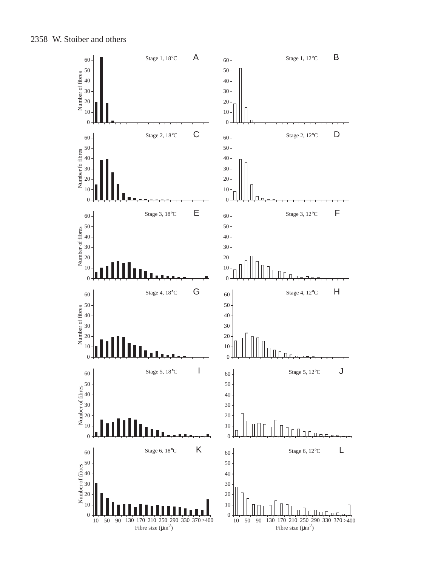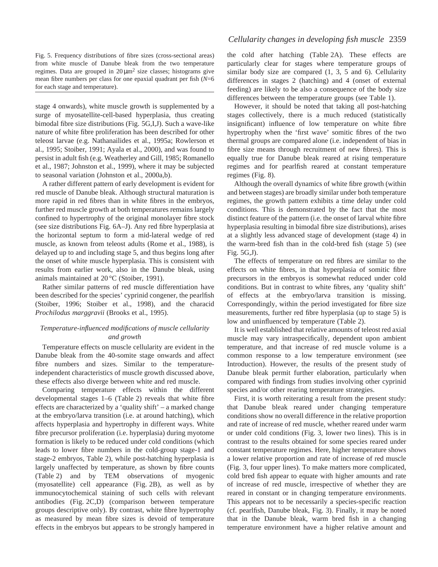Fig. 5. Frequency distributions of fibre sizes (cross-sectional areas) from white muscle of Danube bleak from the two temperature regimes. Data are grouped in  $20 \mu m^2$  size classes; histograms give mean fibre numbers per class for one epaxial quadrant per fish (*N*=6 for each stage and temperature).

stage 4 onwards), white muscle growth is supplemented by a surge of myosatellite-cell-based hyperplasia, thus creating bimodal fibre size distributions (Fig. 5G,I,J). Such a wave-like nature of white fibre proliferation has been described for other teleost larvae (e.g. Nathanailides et al., 1995a; Rowlerson et al., 1995; Stoiber, 1991; Ayala et al., 2000), and was found to persist in adult fish (e.g. Weatherley and Gill, 1985; Romanello et al., 1987; Johnston et al., 1999), where it may be subjected to seasonal variation (Johnston et al., 2000a,b).

A rather different pattern of early development is evident for red muscle of Danube bleak. Although structural maturation is more rapid in red fibres than in white fibres in the embryos, further red muscle growth at both temperatures remains largely confined to hypertrophy of the original monolayer fibre stock (see size distributions Fig. 6A–J). Any red fibre hyperplasia at the horizontal septum to form a mid-lateral wedge of red muscle, as known from teleost adults (Rome et al., 1988), is delayed up to and including stage 5, and thus begins long after the onset of white muscle hyperplasia. This is consistent with results from earlier work, also in the Danube bleak, using animals maintained at 20 °C (Stoiber, 1991).

Rather similar patterns of red muscle differentiation have been described for the species' cyprinid congener, the pearlfish (Stoiber, 1996; Stoiber et al., 1998), and the characid *Prochilodus marggravii* (Brooks et al., 1995).

# *Temperature-influenced modifications of muscle cellularity and growth*

Temperature effects on muscle cellularity are evident in the Danube bleak from the 40-somite stage onwards and affect fibre numbers and sizes. Similar to the temperatureindependent characteristics of muscle growth discussed above, these effects also diverge between white and red muscle.

Comparing temperature effects within the different developmental stages 1–6 (Table 2) reveals that white fibre effects are characterized by a 'quality shift' – a marked change at the embryo/larva transition (i.e. at around hatching), which affects hyperplasia and hypertrophy in different ways. White fibre precursor proliferation (i.e. hyperplasia) during myotome formation is likely to be reduced under cold conditions (which leads to lower fibre numbers in the cold-group stage-1 and stage-2 embryos, Table 2), while post-hatching hyperplasia is largely unaffected by temperature, as shown by fibre counts (Table 2) and by TEM observations of myogenic (myosatellite) cell appearance (Fig. 2B), as well as by immunocytochemical staining of such cells with relevant antibodies (Fig. 2C,D) (comparison between temperature groups descriptive only). By contrast, white fibre hypertrophy as measured by mean fibre sizes is devoid of temperature effects in the embryos but appears to be strongly hampered in

# *Cellularity changes in developing fish muscle* 2359

the cold after hatching (Table 2A). These effects are particularly clear for stages where temperature groups of similar body size are compared (1, 3, 5 and 6). Cellularity differences in stages 2 (hatching) and 4 (onset of external feeding) are likely to be also a consequence of the body size differences between the temperature groups (see Table 1).

However, it should be noted that taking all post-hatching stages collectively, there is a much reduced (statistically insignificant) influence of low temperature on white fibre hypertrophy when the 'first wave' somitic fibres of the two thermal groups are compared alone (i.e. independent of bias in fibre size means through recruitment of new fibres). This is equally true for Danube bleak reared at rising temperature regimes and for pearlfish reared at constant temperature regimes (Fig. 8).

Although the overall dynamics of white fibre growth (within and between stages) are broadly similar under both temperature regimes, the growth pattern exhibits a time delay under cold conditions. This is demonstrated by the fact that the most distinct feature of the pattern (i.e. the onset of larval white fibre hyperplasia resulting in bimodal fibre size distributions), arises at a slightly less advanced stage of development (stage 4) in the warm-bred fish than in the cold-bred fish (stage 5) (see Fig. 5G,J).

The effects of temperature on red fibres are similar to the effects on white fibres, in that hyperplasia of somitic fibre precursors in the embryos is somewhat reduced under cold conditions. But in contrast to white fibres, any 'quality shift' of effects at the embryo/larva transition is missing. Correspondingly, within the period investigated for fibre size measurements, further red fibre hyperplasia (up to stage 5) is low and uninfluenced by temperature (Table 2).

It is well established that relative amounts of teleost red axial muscle may vary intraspecifically, dependent upon ambient temperature, and that increase of red muscle volume is a common response to a low temperature environment (see Introduction). However, the results of the present study of Danube bleak permit further elaboration, particularly when compared with findings from studies involving other cyprinid species and/or other rearing temperature strategies.

First, it is worth reiterating a result from the present study: that Danube bleak reared under changing temperature conditions show no overall difference in the relative proportion and rate of increase of red muscle, whether reared under warm or under cold conditions (Fig. 3, lower two lines). This is in contrast to the results obtained for some species reared under constant temperature regimes. Here, higher temperature shows a lower relative proportion and rate of increase of red muscle (Fig. 3, four upper lines). To make matters more complicated, cold bred fish appear to equate with higher amounts and rate of increase of red muscle, irrespective of whether they are reared in constant or in changing temperature environments. This appears not to be necessarily a species-specific reaction (cf. pearlfish, Danube bleak, Fig. 3). Finally, it may be noted that in the Danube bleak, warm bred fish in a changing temperature environment have a higher relative amount and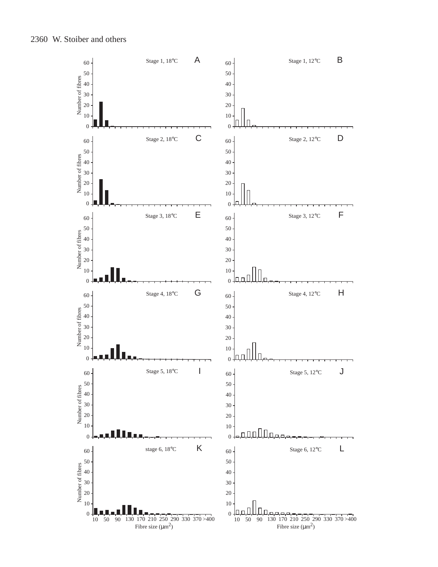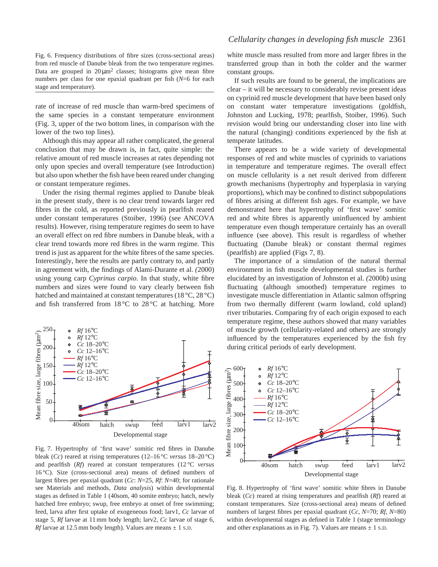Fig. 6. Frequency distributions of fibre sizes (cross-sectional areas) from red muscle of Danube bleak from the two temperature regimes. Data are grouped in  $20 \mu m^2$  classes; histograms give mean fibre numbers per class for one epaxial quadrant per fish (*N*=6 for each stage and temperature).

rate of increase of red muscle than warm-bred specimens of the same species in a constant temperature environment (Fig. 3, upper of the two bottom lines, in comparison with the lower of the two top lines).

Although this may appear all rather complicated, the general conclusion that may be drawn is, in fact, quite simple: the relative amount of red muscle increases at rates depending not only upon species and overall temperature (see Introduction) but also upon whether the fish have been reared under changing or constant temperature regimes.

Under the rising thermal regimes applied to Danube bleak in the present study, there is no clear trend towards larger red fibres in the cold, as reported previously in pearlfish reared under constant temperatures (Stoiber, 1996) (see ANCOVA results). However, rising temperature regimes do seem to have an overall effect on red fibre numbers in Danube bleak, with a clear trend towards more red fibres in the warm regime. This trend is just as apparent for the white fibres of the same species. Interestingly, here the results are partly contrary to, and partly in agreement with, the findings of Alami-Durante et al. *(*2000) using young carp *Cyprinus carpio*. In that study, white fibre numbers and sizes were found to vary clearly between fish hatched and maintained at constant temperatures (18 °C, 28 °C) and fish transferred from  $18\,^{\circ}\text{C}$  to  $28\,^{\circ}\text{C}$  at hatching. More



Fig. 7. Hypertrophy of 'first wave' somitic red fibres in Danube bleak (*Cc*) reared at rising temperatures (12–16 °C *versus* 18–20 °C) and pearlfish (*Rf*) reared at constant temperatures (12 °C *versus*  $16^{\circ}$ C). Size (cross-sectional area) means of defined numbers of largest fibres per epaxial quadrant (*Cc*: *N*=25, *Rf*: *N*=40; for rationale see Materials and methods, *Data analysis*) within developmental stages as defined in Table 1 (40som, 40 somite embryo; hatch, newly hatched free embryo; swup, free embryo at onset of free swimming; feed, larva after first uptake of exogeneous food; larv1, *Cc* larvae of stage 5, *Rf* larvae at 11 mm body length; larv2, *Cc* larvae of stage 6, *Rf* larvae at 12.5 mm body length). Values are means  $\pm$  1 s.D.

white muscle mass resulted from more and larger fibres in the transferred group than in both the colder and the warmer constant groups.

If such results are found to be general, the implications are clear – it will be necessary to considerably revise present ideas on cyprinid red muscle development that have been based only on constant water temperature investigations (goldfish, Johnston and Lucking, 1978; pearlfish, Stoiber, 1996). Such revision would bring our understanding closer into line with the natural (changing) conditions experienced by the fish at temperate latitudes.

There appears to be a wide variety of developmental responses of red and white muscles of cyprinids to variations in temperature and temperature regimes. The overall effect on muscle cellularity is a net result derived from different growth mechanisms (hypertrophy and hyperplasia in varying proportions), which may be confined to distinct subpopulations of fibres arising at different fish ages. For example, we have demonstrated here that hypertrophy of 'first wave' somitic red and white fibres is apparently uninfluenced by ambient temperature even though temperature certainly has an overall influence (see above). This result is regardless of whether fluctuating (Danube bleak) or constant thermal regimes (pearlfish) are applied (Figs 7, 8).

The importance of a simulation of the natural thermal environment in fish muscle developmental studies is further elucidated by an investigation of Johnston et al. *(*2000b) using fluctuating (although smoothed) temperature regimes to investigate muscle differentiation in Atlantic salmon offspring from two thermally different (warm lowland, cold upland) river tributaries. Comparing fry of each origin exposed to each temperature regime, these authors showed that many variables of muscle growth (cellularity-related and others) are strongly influenced by the temperatures experienced by the fish fry during critical periods of early development.



Fig. 8. Hypertrophy of 'first wave' somitic white fibres in Danube bleak (*Cc*) reared at rising temperatures and pearlfish (*Rf*) reared at constant temperatures. Size (cross-sectional area) means of defined numbers of largest fibres per epaxial quadrant (*Cc*, *N*=70; *Rf*, *N*=80) within developmental stages as defined in Table 1 (stage terminology and other explanations as in Fig. 7). Values are means  $\pm$  1 s.D.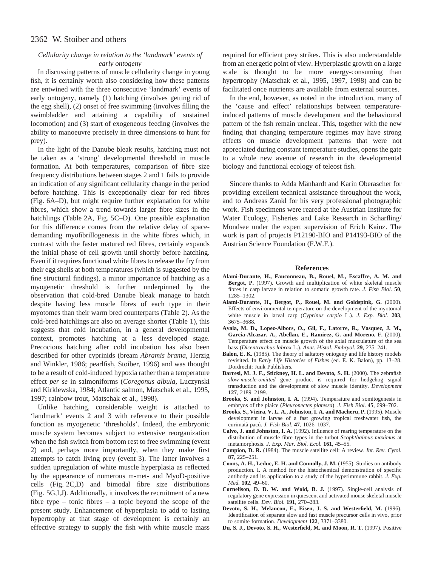# *Cellularity change in relation to the 'landmark' events of early ontogeny*

In discussing patterns of muscle cellularity change in young fish, it is certainly worth also considering how these patterns are entwined with the three consecutive 'landmark' events of early ontogeny, namely (1) hatching (involves getting rid of the egg shell), (2) onset of free swimming (involves filling the swimbladder and attaining a capability of sustained locomotion) and (3) start of exogeneous feeding (involves the ability to manoeuvre precisely in three dimensions to hunt for prey).

In the light of the Danube bleak results, hatching must not be taken as a 'strong' developmental threshold in muscle formation. At both temperatures, comparison of fibre size frequency distributions between stages 2 and 1 fails to provide an indication of any significant cellularity change in the period before hatching. This is exceptionally clear for red fibres (Fig. 6A–D), but might require further explanation for white fibres, which show a trend towards larger fibre sizes in the hatchlings (Table 2A, Fig. 5C–D). One possible explanation for this difference comes from the relative delay of spacedemanding myofibrillogenesis in the white fibres which, in contrast with the faster matured red fibres, certainly expands the initial phase of cell growth until shortly before hatching. Even if it requires functional white fibres to release the fry from their egg shells at both temperatures (which is suggested by the fine structural findings), a minor importance of hatching as a myogenetic threshold is further underpinned by the observation that cold-bred Danube bleak manage to hatch despite having less muscle fibres of each type in their myotomes than their warm bred counterparts (Table 2). As the cold-bred hatchlings are also on average shorter (Table 1), this suggests that cold incubation, in a general developmental context, promotes hatching at a less developed stage. Precocious hatching after cold incubation has also been described for other cyprinids (bream *Abramis brama*, Herzig and Winkler, 1986; pearlfish, Stoiber, 1996) and was thought to be a result of cold-induced hypoxia rather than a temperature effect *per se* in salmoniforms (*Coregonus albula*, Luczynski and Kirklewska, 1984; Atlantic salmon, Matschak et al., 1995, 1997; rainbow trout, Matschak et al., 1998).

Unlike hatching, considerable weight is attached to 'landmark' events 2 and 3 with reference to their possible function as myogenetic 'thresholds'. Indeed, the embryonic muscle system becomes subject to extensive reorganization when the fish switch from bottom rest to free swimming (event 2) and, perhaps more importantly, when they make first attempts to catch living prey (event 3). The latter involves a sudden upregulation of white muscle hyperplasia as reflected by the appearance of numerous m-met- and MyoD-positive cells (Fig. 2C,D) and bimodal fibre size distributions (Fig. 5G,I,J). Additionally, it involves the recruitment of a new fibre type – tonic fibres – a topic beyond the scope of the present study. Enhancement of hyperplasia to add to lasting hypertrophy at that stage of development is certainly an effective strategy to supply the fish with white muscle mass required for efficient prey strikes. This is also understandable from an energetic point of view. Hyperplastic growth on a large scale is thought to be more energy-consuming than hypertrophy (Matschak et al.*,* 1995, 1997, 1998) and can be facilitated once nutrients are available from external sources.

In the end, however, as noted in the introduction, many of the 'cause and effect' relationships between temperatureinduced patterns of muscle development and the behavioural pattern of the fish remain unclear. This, together with the new finding that changing temperature regimes may have strong effects on muscle development patterns that were not appreciated during constant temperature studies, opens the gate to a whole new avenue of research in the developmental biology and functional ecology of teleost fish.

Sincere thanks to Adda Mänhardt and Karin Oberascher for providing excellent technical assistance throughout the work, and to Andreas Zankl for his very professional photographic work. Fish specimens were reared at the Austrian Institute for Water Ecology, Fisheries and Lake Research in Scharfling/ Mondsee under the expert supervision of Erich Kainz. The work is part of projects P12190-BIO and P14193-BIO of the Austrian Science Foundation (F.W.F.).

#### **References**

- **Alami-Durante, H., Fauconneau, B., Rouel, M., Escaffre, A. M. and Bergot, P.** (1997). Growth and multiplication of white skeletal muscle fibres in carp larvae in relation to somatic growth rate. *J. Fish Biol.* **50**, 1285–1302.
- **Alami-Durante, H., Bergot, P., Rouel, M. and Goldspink, G.** (2000). Effects of environmental temperature on the development of the myotomal white muscle in larval carp (*Cyprinus carpio* L.). *J. Exp. Biol.* **203**, 3675–3688.
- **Ayala, M. D., Lopez-Albors, O., Gil, F., Latorre, R., Vasquez, J. M., Garcia-Alcazar, A., Abellan, E., Ramirez, G. and Moreno, F.** (2000). Temperature effect on muscle growth of the axial musculature of the sea bass (*Dicentrarchus labrax* L.). *Anat. Histol. Embryol*. **29**, 235–241.
- **Balon, E. K.** (1985). The theory of saltatory ontogeny and life history models revisited. In *Early Life Histories of Fishes* (ed. E. K. Balon), pp. 13–28. Dordrecht: Junk Publishers.
- **Barresi, M. J. F., Stickney, H. L. and Devoto, S. H.** (2000). The zebrafish *slow-muscle-omitted* gene product is required for hedgehog signal transduction and the development of slow muscle identity. *Development* **127**, 2189–2199.
- **Brooks, S. and Johnston, I. A.** (1994). Temperature and somitogenesis in embryos of the plaice (*Pleuronectes platessa*). *J. Fish Biol*. **45**, 699–702.
- **Brooks, S., Vieira, V. L. A., Johnston, I. A. and Macheru, P.** (1995). Muscle development in larvae of a fast growing tropical freshwater fish, the curimatã pacú. *J. Fish Biol*. **47**, 1026–1037.
- **Calvo, J. and Johnston, I. A.** (1992). Influence of rearing temperature on the distribution of muscle fibre types in the turbot *Scophthalmus maximus* at metamorphosis. *J. Exp. Mar. Biol. Ecol.* **161**, 45–55.
- **Campion, D. R.** (1984). The muscle satellite cell: A review. *Int. Rev. Cytol.* **87**, 225–251.
- **Coons, A. H., Leduc, E. H. and Connolly, J. M.** (1955). Studies on antibody production. I. A method for the histochemical demonstration of specific antibody and its application to a study of the hyperimmune rabbit. *J. Exp. Med.* **102**, 49–60.
- **Cornelison, D. D. W. and Wold, B. J.** (1997). Single-cell analysis of regulatory gene expression in quiescent and activated mouse skeletal muscle satellite cells. *Dev. Biol.* **191**, 270–283.
- **Devoto, S. H., Melancon, E., Eisen, J. S. and Westerfield, M.** (1996). Identification of separate slow and fast muscle precursor cells in vivo, prior to somite formation. *Development* **122**, 3371–3380.
- **Du, S. J., Devoto, S. H., Westerfield, M. and Moon, R. T.** (1997). Positive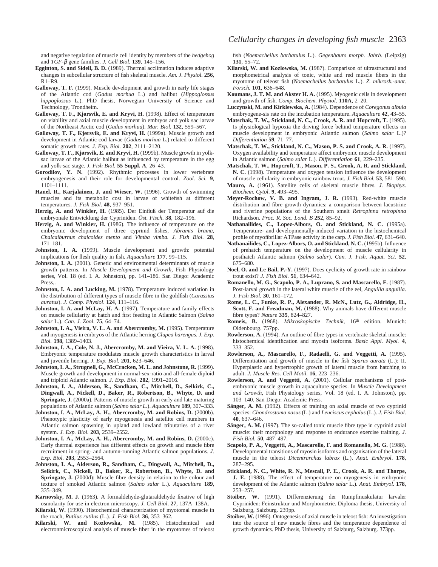and negative regulation of muscle cell identity by members of the *hedgehog* and *TGF-*β gene families. *J. Cell Biol.* **139**, 145–156.

- **Egginton, S. and Sidell, B. D.** (1989). Thermal acclimation induces adaptive changes in subcellular structure of fish skeletal muscle. *Am. J. Physiol.* **256**,  $R1-R9$ .
- **Galloway, T. F.** (1999). Muscle development and growth in early life stages of the Atlantic cod (*Gadus morhua* L.) and halibut (*Hippoglossus hippoglossus* L.). PhD thesis, Norwegian University of Science and Technology, Trondheim.
- **Galloway, T. F., Kjørsvik, E. and Kryvi, H.** (1998). Effect of temperature on viability and axial muscle development in embryos and yolk sac larvae of the Northeast Arctic cod (*Gadus morhua*). *Mar. Biol.* **132**, 559–567.
- **Galloway, T. F., Kjørsvik, E. and Kryvi, H.** (1999a). Muscle growth and development in Atlantic cod larvae (*Gadus morhua* L.) related to different somatic growth rates. *J. Exp. Biol.* **202**, 2111–2120.
- **Galloway, T. F., Kjørsvik, E. and Kryvi, H.** (1999b). Muscle growth in yolksac larvae of the Atlantic halibut as influenced by temperature in the egg and yolk-sac stage. *J. Fish Biol.* **55 Suppl. A**, 26–43.
- **Gorodilov, Y. N.** (1992). Rhythmic processes in lower vertebrate embryogenesis and their role for developmental control. *Zool. Sci.* **9**, 1101–1111.
- **Hanel, R., Karjalainen, J. and Wieser, W.** (1996). Growth of swimming muscles and its metabolic cost in larvae of whitefish at different temperatures. *J. Fish Biol.* **48**, 937–951.
- **Herzig, A. and Winkler, H.** (1985). Der Einfluß der Temperatur auf die embryonale Entwicklung der Cypriniden. *Öst. Fisch*. **38**, 182–196.
- **Herzig, A. and Winkler, H.** (1986). The influence of temperature on the embryonic development of three cyprinid fishes, *Abramis brama, Chalcalburnus chalcoides mento* and *Vimba vimba. J. Fish Biol*. **28**, 171–181.
- **Johnston, I. A.** (1999). Muscle development and growth: potential implications for flesh quality in fish. *Aquaculture* **177**, 99–115.
- **Johnston, I. A.** (2001). Genetic and environmental determinants of muscle growth patterns. In *Muscle Development and Growth,* Fish Physiology series, Vol. 18 (ed. I. A. Johnston), pp. 141–186. San Diego: Academic Press,.
- **Johnston, I. A. and Lucking, M.** (1978). Temperature induced variation in the distribution of different types of muscle fibre in the goldfish (*Carassius auratus*). *J. Comp. Physiol*. **124**, 111–116.
- **Johnston, I. A. and McLay, H. A.** (1997). Temperature and family effects on muscle cellularity at hatch and first feeding in Atlantic Salmon (*Salmo salar* L.). *Can. J. Zool*. **75**, 64–74.
- **Johnston, I. A., Vieira, V. L. A. and Abercromby, M.** (1995). Temperature and myogenesis in embryos of the Atlantic herring *Clupea harengus*. *J. Exp. Biol.* **198**, 1389–1403.
- **Johnston, I. A., Cole, N. J., Abercromby, M. and Vieira, V. L. A.** (1998). Embryonic temperature modulates muscle growth characteristics in larval and juvenile herring. *J. Exp. Biol.* **201**, 623–646.
- **Johnston, I. A., Strugnell, G., McCracken, M. L. and Johnstone, R.** (1999). Muscle growth and development in normal-sex-ratio and all-female diploid and triploid Atlantic salmon. *J. Exp. Biol.* **202**, 1991–2016.
- **Johnston, I. A., Alderson, R., Sandham, C., Mitchell, D., Selkirk, C., Dingwall, A., Nickell, D., Baker, R., Robertson, B., Whyte, D. and Springate, J.** (2000a). Patterns of muscle growth in early and late maturing populations of Atlantic salmon (*Salmo salar L*.). *Aquaculture* **189**, 307–333.
- **Johnston, I. A., McLay, A. H., Abercromby, M. and Robins, D.** (2000b). Phenotypic plasticity of early myogenesis and satellite cell numbers in Atlantic salmon spawning in upland and lowland tributaries of a river system. *J. Exp. Biol.* **203**, 2539–2552.
- **Johnston, I. A., McLay, A. H., Abercromby, M. and Robins, D.** (2000c). Early thermal experience has different effects on growth and muscle fibre recruitment in spring- and autumn-running Atlantic salmon populations. *J. Exp. Biol.* **203**, 2553–2564.
- **Johnston, I. A., Alderson, R., Sandham, C., Dingwall, A., Mitchell, D., Selkirk, C., Nickell, D., Baker, R., Robertson, B., Whyte, D. and Springate, J.** (2000d): Muscle fibre density in relation to the colour and texture of smoked Atlantic salmon (*Salmo salar* L.). *Aquaculture* **189**, 335–349.
- **Karnovsky, M. J.** (1963). A formaldehyde-glutaraldehyde fixative of high osmolarity for use in electron microscopy. *J. Cell Biol*. **27**, 137A–138A.
- **Kilarski, W.** (1990). Histochemical characterization of myotomal muscle in the roach, *Rutilus rutilus* (L.). *J. Fish Biol*. **36**, 353–362.
- **Kilarski, W. and Kozlowska, M.** (1985). Histochemical and electronmicroscopical analysis of muscle fiber in the myotomes of teleost

fish (*Noemacheilus barbatulus* L.). *Gegenbaurs morph. Jahrb*. (Leipzig) **131**, 55–72.

- **Kilarski, W. and Kozlowska, M.** (1987). Comparison of ultrastructural and morphometrical analysis of tonic, white and red muscle fibers in the myotome of teleost fish (*Noemacheilus barbatulus* L.). *Z. mikrosk.-anat. Forsch.* **101**, 636–648.
- **Koumans, J. T. M. and Akster H. A.** (1995). Myogenic cells in development and growth of fish. *Comp. Biochem. Physiol*. **110A**, 2–20.
- **Luczynski, M. and Kirklewska, A.** (1984). Dependence of *Coregonus albula* embryogene-sis rate on the incubation temperature. *Aquaculture* **42**, 43–55.
- **Matschak, T. W., Stickland, N. C., Crook, A. R. and Hopcroft, T.** (1995). Is physiological hypoxia the driving force behind temperature effects on muscle development in embryonic Atlantic salmon (*Salmo salar* L.)? *Differentiation* **59**, 71–77.
- **Matschak, T. W., Stickland, N. C., Mason, P. S. and Crook, A. R.** (1997). Oxygen availability and temperature affect embryonic muscle development in Atlantic salmon (*Salmo salar* L.). *Differentiation* **61**, 229–235.
- **Matschak, T. W., Hopcroft, T., Mason, P. S., Crook, A. R. and Stickland, N. C.** (1998). Temperature and oxygen tension influence the development of muscle cellularity in embryonic rainbow trout. *J. Fish Biol.* **53**, 581–590.
- **Mauro, A.** (1961). Satellite cells of skeletal muscle fibres. *J. Biophys. Biochem. Cytol*. **9**, 493–495.
- **Meyer-Rochow, V. B. and Ingram, J. R.** (1993). Red-white muscle distribution and fibre growth dynamics: a comparison between lacustrine and riverine populations of the Southern smelt *Retropinna retropinna* Richardson. *Proc. R. Soc. Lond. B* **252**, 85–92.
- **Nathanailides, C., Lopez-Albors, O. and Stickland, N. C.** (1995a). Temperature- and developmentally-induced variation in the histochemical profile of myofibrillar ATPase activity in the carp. *J. Fish Biol.* **47**, 631–640.
- **Nathanailides, C., Lopez-Albors, O. and Stickland, N. C.** (1995b). Influence of prehatch temperature on the development of muscle cellularity in posthatch Atlantic salmon (*Salmo salar*). *Can. J. Fish. Aquat. Sci.* **52**, 675–680.
- **Noel, O. and Le Bail, P.-Y.** (1997). Does cyclicity of growth rate in rainbow trout exist? *J. Fish Biol.* **51**, 634–642.
- **Romanello, M. G., Scapolo, P. A., Luprano, S. and Mascarello, F.** (1987). Post-larval growth in the lateral white muscle of the eel, *Anguilla anguilla*. *J. Fish Biol*. **30**, 161–172.
- **Rome, L. C., Funke, R. P., Alexander, R. McN., Lutz, G., Aldridge, H., Scott, F. and Freadman, M.** (1988). Why animals have different muscle fibre types? *Nature* **335**, 824–827.
- **Romeis, B.** (1968). *Mikroskopische Technik*, 16th edition. Munich: Oldenbourg. 757pp.
- **Rowlerson, A.** (1994). An outline of fibre types in vertebrate skeletal muscle: histochemical identification and myosin isoforms. *Basic Appl. Myol.* **4**, 333–352.
- **Rowlerson, A., Mascarello, F., Radaelli, G. and Veggetti, A.** (1995). Differentiation and growth of muscle in the fish *Sparus aurata* (L.): II. Hyperplastic and hypertrophic growth of lateral muscle from hatching to adult. *J. Muscle Res. Cell Motil.* **16**, 223–236.
- **Rowlerson, A. and Veggetti, A.** (2001). Cellular mechanisms of postembryonic muscle growth in aquaculture species. In *Muscle Development and Growth,* Fish Physiology series, Vol. 18 (ed. I. A. Johnston), pp. 103–140. San Diego: Academic Press.
- Sänger, A. M. (1992). Effects of training on axial muscle of two cyprinid species: *Chondrostoma nasus* (L.) and *Leuciscus cephalus* (L.). *J. Fish Biol.* **40**, 637–646.
- **Sänger, A. M.** (1997). The so-called tonic muscle fibre type in cyprinid axial muscle: their morphology and response to endurance exercise training. *J. Fish Biol.* **50**, 487–497.
- **Scapolo, P. A., Veggetti, A., Mascarello, F. and Romanello, M. G.** (1988). Developmental transitions of myosin isoforms and organisation of the lateral muscle in the teleost *Dicentrarchus labrax* (L.). *Anat. Embryol*. **178**, 287–295.
- **Stickland, N. C., White, R. N., Mescall, P. E., Crook, A. R. and Thorpe, J. E.** (1988). The effect of temperature on myogenesis in embryonic development of the Atlantic salmon (*Salmo salar* L.). *Anat. Embryol.* **178**, 253–257.
- **Stoiber, W.** (1991). Differenzierung der Rumpfmuskulatur larvaler Cypriniden: Feinstruktur und Morphometrie. Diploma thesis, University of Salzburg, Salzburg. 239pp.
- **Stoiber, W.** (1996). Ontogenesis of axial muscle in teleost fish: An investigation into the source of new muscle fibres and the temperature dependence of growth dynamics. PhD thesis, University of Salzburg, Salzburg. 373pp.